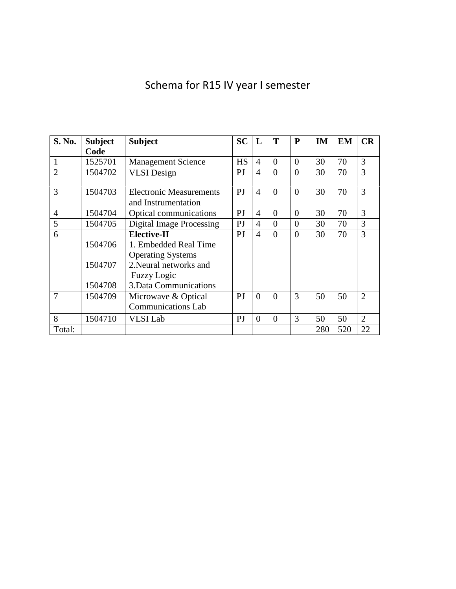# Schema for R15 IV year I semester

| S. No.         | <b>Subject</b> | <b>Subject</b>                                        | SC             | L              | T        | P              | <b>IM</b> | EM  | CR             |
|----------------|----------------|-------------------------------------------------------|----------------|----------------|----------|----------------|-----------|-----|----------------|
|                | Code           |                                                       |                |                |          |                |           |     |                |
| $\mathbf{1}$   | 1525701        | <b>Management Science</b>                             | <b>HS</b>      | 4              | $\theta$ | $\Omega$       | 30        | 70  | 3              |
| $\overline{2}$ | 1504702        | <b>VLSI</b> Design                                    | P <sub>J</sub> | 4              | $\Omega$ | $\Omega$       | 30        | 70  | 3              |
| 3              | 1504703        | <b>Electronic Measurements</b><br>and Instrumentation | P <sub>J</sub> | 4              | $\Omega$ | $\Omega$       | 30        | 70  | 3              |
| $\overline{4}$ | 1504704        | Optical communications                                | PJ             | $\overline{4}$ | $\theta$ | $\overline{0}$ | 30        | 70  | 3              |
| 5              | 1504705        | <b>Digital Image Processing</b>                       | PJ             | 4              | $\Omega$ | $\Omega$       | 30        | 70  | 3              |
| 6              |                | <b>Elective-II</b>                                    | P <sub>J</sub> | 4              | $\theta$ | $\overline{0}$ | 30        | 70  | 3              |
|                | 1504706        | 1. Embedded Real Time                                 |                |                |          |                |           |     |                |
|                |                | <b>Operating Systems</b>                              |                |                |          |                |           |     |                |
|                | 1504707        | 2. Neural networks and                                |                |                |          |                |           |     |                |
|                |                | <b>Fuzzy Logic</b>                                    |                |                |          |                |           |     |                |
|                | 1504708        | 3. Data Communications                                |                |                |          |                |           |     |                |
| $\tau$         | 1504709        | Microwave & Optical                                   | P <sub>J</sub> | $\Omega$       | $\theta$ | 3              | 50        | 50  | $\mathcal{D}$  |
|                |                | <b>Communications Lab</b>                             |                |                |          |                |           |     |                |
| 8              | 1504710        | <b>VLSI</b> Lab                                       | $\overline{P}$ | $\theta$       | $\theta$ | 3              | 50        | 50  | $\overline{2}$ |
| Total:         |                |                                                       |                |                |          |                | 280       | 520 | 22             |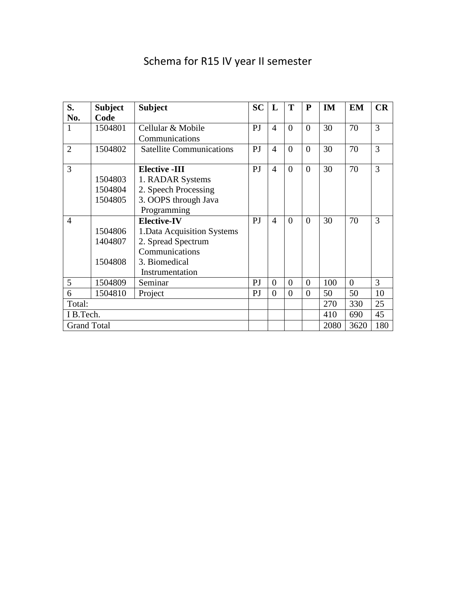# Schema for R15 IV year II semester

| S.                 | <b>Subject</b> | <b>Subject</b>                  | <b>SC</b> | L              | T              | P              | <b>IM</b> | <b>EM</b> | CR  |
|--------------------|----------------|---------------------------------|-----------|----------------|----------------|----------------|-----------|-----------|-----|
| No.                | Code           |                                 |           |                |                |                |           |           |     |
| $\mathbf{1}$       | 1504801        | Cellular & Mobile               | PJ        | $\overline{4}$ | $\theta$       | $\theta$       | 30        | 70        | 3   |
|                    |                | Communications                  |           |                |                |                |           |           |     |
| $\overline{2}$     | 1504802        | <b>Satellite Communications</b> | PJ        | $\overline{4}$ | $\theta$       | $\theta$       | 30        | 70        | 3   |
|                    |                |                                 |           |                |                |                |           |           |     |
| 3                  |                | <b>Elective -III</b>            | PJ        | $\overline{4}$ | $\theta$       | $\theta$       | 30        | 70        | 3   |
|                    | 1504803        | 1. RADAR Systems                |           |                |                |                |           |           |     |
|                    | 1504804        | 2. Speech Processing            |           |                |                |                |           |           |     |
|                    | 1504805        | 3. OOPS through Java            |           |                |                |                |           |           |     |
|                    |                | Programming                     |           |                |                |                |           |           |     |
| $\overline{4}$     |                | <b>Elective-IV</b>              | PJ        | $\overline{4}$ | $\theta$       | $\theta$       | 30        | 70        | 3   |
|                    | 1504806        | 1. Data Acquisition Systems     |           |                |                |                |           |           |     |
|                    | 1404807        | 2. Spread Spectrum              |           |                |                |                |           |           |     |
|                    |                | Communications                  |           |                |                |                |           |           |     |
|                    | 1504808        | 3. Biomedical                   |           |                |                |                |           |           |     |
|                    |                | Instrumentation                 |           |                |                |                |           |           |     |
| 5                  | 1504809        | Seminar                         | PJ        | $\theta$       | $\theta$       | $\overline{0}$ | 100       | $\theta$  | 3   |
| 6                  | 1504810        | Project                         | PJ        | $\theta$       | $\overline{0}$ | $\overline{0}$ | 50        | 50        | 10  |
| Total:             |                |                                 |           |                |                | 270            | 330       | 25        |     |
| I B.Tech.          |                |                                 |           |                |                |                | 410       | 690       | 45  |
| <b>Grand Total</b> |                |                                 |           |                |                |                | 2080      | 3620      | 180 |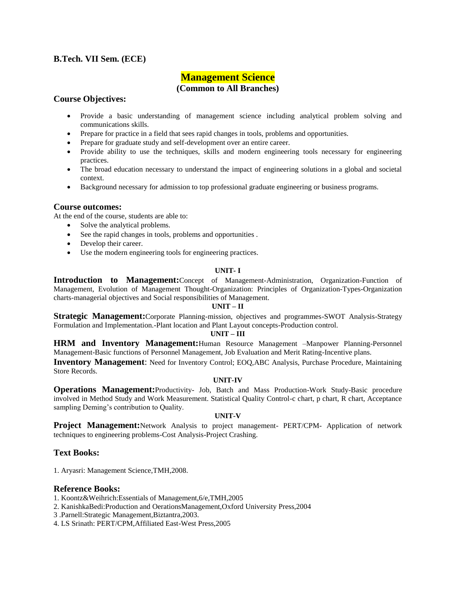### **B.Tech. VII Sem. (ECE)**

# **Management Science (Common to All Branches)**

### **Course Objectives:**

- Provide a basic understanding of management science including analytical problem solving and communications skills.
- Prepare for practice in a field that sees rapid changes in tools, problems and opportunities.
- Prepare for graduate study and self-development over an entire career.
- Provide ability to use the techniques, skills and modern engineering tools necessary for engineering practices.
- The broad education necessary to understand the impact of engineering solutions in a global and societal context.
- Background necessary for admission to top professional graduate engineering or business programs.

### **Course outcomes:**

At the end of the course, students are able to:

- Solve the analytical problems.
- See the rapid changes in tools, problems and opportunities .
- Develop their career.
- Use the modern engineering tools for engineering practices.

### **UNIT- I**

**Introduction to Management:**Concept of Management-Administration, Organization-Function of Management, Evolution of Management Thought-Organization: Principles of Organization-Types-Organization charts-managerial objectives and Social responsibilities of Management.

### **UNIT – II**

**Strategic Management:**Corporate Planning-mission, objectives and programmes-SWOT Analysis-Strategy Formulation and Implementation.-Plant location and Plant Layout concepts-Production control.

### **UNIT – III**

**HRM and Inventory Management:**Human Resource Management –Manpower Planning-Personnel Management-Basic functions of Personnel Management, Job Evaluation and Merit Rating-Incentive plans.

**Inventory Management**: Need for Inventory Control; EOQ,ABC Analysis, Purchase Procedure, Maintaining Store Records.

### **UNIT-IV**

**Operations Management:**Productivity- Job, Batch and Mass Production-Work Study-Basic procedure involved in Method Study and Work Measurement. Statistical Quality Control-c chart, p chart, R chart, Acceptance sampling Deming's contribution to Quality.

### **UNIT-V**

**Project Management:**Network Analysis to project management- PERT/CPM- Application of network techniques to engineering problems-Cost Analysis-Project Crashing.

### **Text Books:**

1. Aryasri: Management Science,TMH,2008.

### **Reference Books:**

1. Koontz&Weihrich:Essentials of Management,6/e,TMH,2005

- 2. KanishkaBedi:Production and OerationsManagement,Oxford University Press,2004
- 3 .Parnell:Strategic Management,Biztantra,2003.

4. LS Srinath: PERT/CPM,Affiliated East-West Press,2005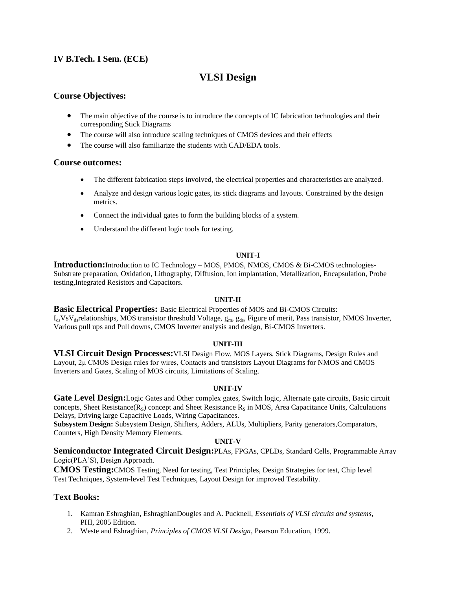### **IV B.Tech. I Sem. (ECE)**

# **VLSI Design**

### **Course Objectives:**

- The main objective of the course is to introduce the concepts of IC fabrication technologies and their corresponding Stick Diagrams
- The course will also introduce scaling techniques of CMOS devices and their effects
- The course will also familiarize the students with CAD/EDA tools.

### **Course outcomes:**

- The different fabrication steps involved, the electrical properties and characteristics are analyzed.
- Analyze and design various logic gates, its stick diagrams and layouts. Constrained by the design metrics.
- Connect the individual gates to form the building blocks of a system.
- Understand the different logic tools for testing.

### **UNIT-I**

**Introduction:**Introduction to IC Technology – MOS, PMOS, NMOS, CMOS & Bi-CMOS technologies-Substrate preparation, Oxidation, Lithography, Diffusion, Ion implantation, Metallization, Encapsulation, Probe testing,Integrated Resistors and Capacitors.

### **UNIT-II**

**Basic Electrical Properties:** Basic Electrical Properties of MOS and Bi-CMOS Circuits:  $I_{ds}VsV_{ds}$ relationships, MOS transistor threshold Voltage,  $g_m$ ,  $g_{ds}$ , Figure of merit, Pass transistor, NMOS Inverter, Various pull ups and Pull downs, CMOS Inverter analysis and design, Bi-CMOS Inverters.

### **UNIT-III**

**VLSI Circuit Design Processes:**VLSI Design Flow, MOS Layers, Stick Diagrams, Design Rules and Layout, 2μ CMOS Design rules for wires, Contacts and transistors Layout Diagrams for NMOS and CMOS Inverters and Gates, Scaling of MOS circuits, Limitations of Scaling.

### **UNIT-IV**

**Gate Level Design:**Logic Gates and Other complex gates, Switch logic, Alternate gate circuits, Basic circuit concepts, Sheet Resistance( $R_S$ ) concept and Sheet Resistance  $R_S$  in MOS, Area Capacitance Units, Calculations Delays, Driving large Capacitive Loads, Wiring Capacitances.

**Subsystem Design:** Subsystem Design, Shifters, Adders, ALUs, Multipliers, Parity generators,Comparators, Counters, High Density Memory Elements.

### **UNIT-V**

**Semiconductor Integrated Circuit Design:**PLAs, FPGAs, CPLDs, Standard Cells, Programmable Array Logic(PLA"S), Design Approach.

**CMOS Testing:**CMOS Testing, Need for testing, Test Principles, Design Strategies for test, Chip level Test Techniques, System-level Test Techniques, Layout Design for improved Testability.

### **Text Books:**

- 1. Kamran Eshraghian, EshraghianDougles and A. Pucknell, *Essentials of VLSI circuits and systems*, PHI, 2005 Edition.
- 2. Weste and Eshraghian, *Principles of CMOS VLSI Design*, Pearson Education, 1999.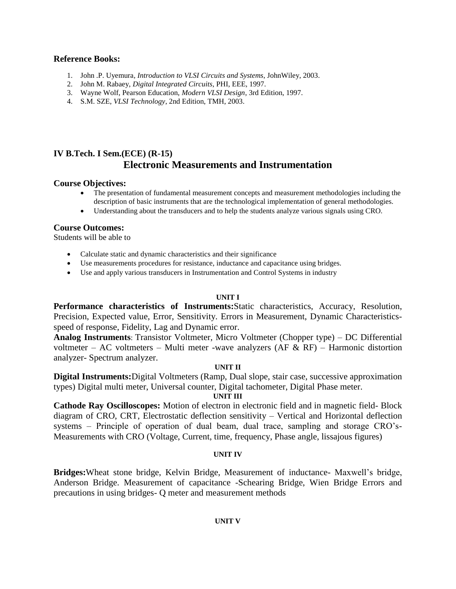### **Reference Books:**

- 1. John .P. Uyemura*, Introduction to VLSI Circuits and Systems*, JohnWiley, 2003.
- 2. John M. Rabaey, *Digital Integrated Circuits*, PHI, EEE, 1997.
- 3. Wayne Wolf, Pearson Education, *Modern VLSI Design*, 3rd Edition, 1997.
- 4. S.M. SZE, *VLSI Technology*, 2nd Edition, TMH, 2003.

# **IV B.Tech. I Sem.(ECE) (R-15) Electronic Measurements and Instrumentation**

### **Course Objectives:**

- The presentation of fundamental measurement concepts and measurement methodologies including the description of basic instruments that are the technological implementation of general methodologies.
- Understanding about the transducers and to help the students analyze various signals using CRO.

### **Course Outcomes:**

Students will be able to

- Calculate static and dynamic characteristics and their significance
- Use measurements procedures for resistance, inductance and capacitance using bridges.
- Use and apply various transducers in Instrumentation and Control Systems in industry

### **UNIT I**

**Performance characteristics of Instruments:**Static characteristics, Accuracy, Resolution, Precision, Expected value, Error, Sensitivity. Errors in Measurement, Dynamic Characteristicsspeed of response, Fidelity, Lag and Dynamic error.

**Analog Instruments**: Transistor Voltmeter, Micro Voltmeter (Chopper type) – DC Differential voltmeter – AC voltmeters – Multi meter -wave analyzers (AF  $& RF$ ) – Harmonic distortion analyzer- Spectrum analyzer.

### **UNIT II**

**Digital Instruments:**Digital Voltmeters (Ramp, Dual slope, stair case, successive approximation types) Digital multi meter, Universal counter, Digital tachometer, Digital Phase meter.

### **UNIT III**

Cathode Ray Oscilloscopes: Motion of electron in electronic field and in magnetic field- Block diagram of CRO, CRT, Electrostatic deflection sensitivity – Vertical and Horizontal deflection systems – Principle of operation of dual beam, dual trace, sampling and storage CRO"s-Measurements with CRO (Voltage, Current, time, frequency, Phase angle, lissajous figures)

### **UNIT IV**

**Bridges:**Wheat stone bridge, Kelvin Bridge, Measurement of inductance- Maxwell"s bridge, Anderson Bridge. Measurement of capacitance -Schearing Bridge, Wien Bridge Errors and precautions in using bridges- Q meter and measurement methods

### **UNIT V**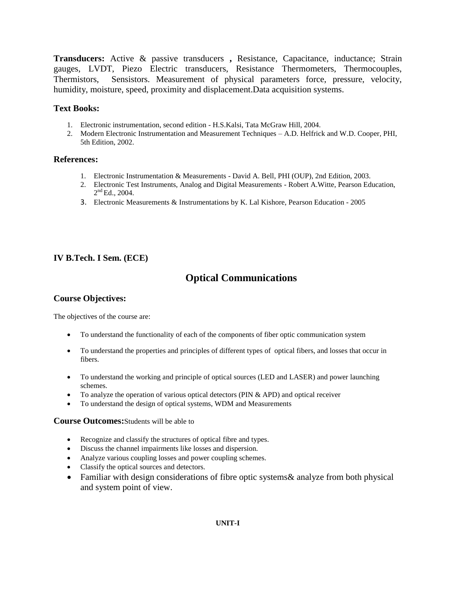**Transducers:** Active & passive transducers **,** Resistance, Capacitance, inductance; Strain gauges, LVDT, Piezo Electric transducers, Resistance Thermometers, Thermocouples, Thermistors, Sensistors. Measurement of physical parameters force, pressure, velocity, humidity, moisture, speed, proximity and displacement.Data acquisition systems.

### **Text Books:**

- 1. Electronic instrumentation, second edition H.S.Kalsi, Tata McGraw Hill, 2004.
- 2. Modern Electronic Instrumentation and Measurement Techniques A.D. Helfrick and W.D. Cooper, PHI, 5th Edition, 2002.

### **References:**

- 1. Electronic Instrumentation & Measurements David A. Bell, PHI (OUP), 2nd Edition, 2003.
- 2. Electronic Test Instruments, Analog and Digital Measurements Robert A.Witte, Pearson Education,  $2<sup>nd</sup>$  Ed., 2004.
- 3. Electronic Measurements & Instrumentations by K. Lal Kishore, Pearson Education 2005

### **IV B.Tech. I Sem. (ECE)**

# **Optical Communications**

### **Course Objectives:**

The objectives of the course are:

- To understand the functionality of each of the components of fiber optic communication system
- To understand the properties and principles of different types of optical fibers, and losses that occur in fibers.
- To understand the working and principle of optical sources (LED and LASER) and power launching schemes.
- $\bullet$  To analyze the operation of various optical detectors (PIN & APD) and optical receiver
- To understand the design of optical systems, WDM and Measurements

### **Course Outcomes:**Students will be able to

- Recognize and classify the structures of optical fibre and types.
- Discuss the channel impairments like losses and dispersion.
- Analyze various coupling losses and power coupling schemes.
- Classify the optical sources and detectors.
- Familiar with design considerations of fibre optic systems & analyze from both physical and system point of view.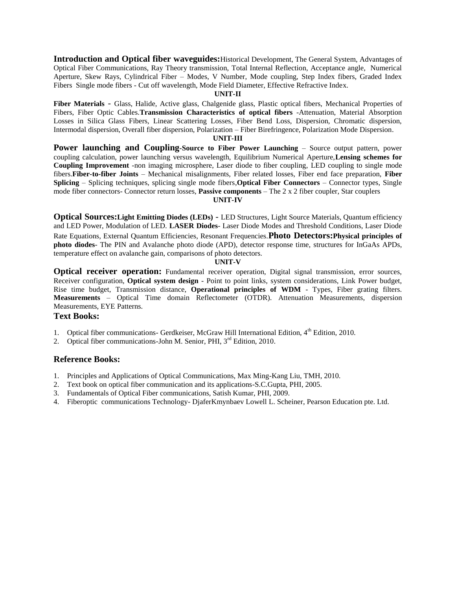**Introduction and Optical fiber waveguides:**Historical Development, The General System, Advantages of Optical Fiber Communications, Ray Theory transmission, Total Internal Reflection, Acceptance angle, Numerical Aperture, Skew Rays, Cylindrical Fiber – Modes, V Number, Mode coupling, Step Index fibers, Graded Index Fibers Single mode fibers - Cut off wavelength, Mode Field Diameter, Effective Refractive Index.

#### **UNIT-II**

**Fiber Materials** - Glass, Halide, Active glass, Chalgenide glass, Plastic optical fibers, Mechanical Properties of Fibers, Fiber Optic Cables.**Transmission Characteristics of optical fibers** -Attenuation, Material Absorption Losses in Silica Glass Fibers, Linear Scattering Losses, Fiber Bend Loss, Dispersion, Chromatic dispersion, Intermodal dispersion, Overall fiber dispersion, Polarization – Fiber Birefringence, Polarization Mode Dispersion.

### **UNIT-III**

**Power launching and Coupling-Source to Fiber Power Launching** – Source output pattern, power coupling calculation, power launching versus wavelength, Equilibrium Numerical Aperture,**Lensing schemes for Coupling Improvement** -non imaging microsphere, Laser diode to fiber coupling, LED coupling to single mode fibers.**Fiber-to-fiber Joints** – Mechanical misalignments, Fiber related losses, Fiber end face preparation, **Fiber Splicing** – Splicing techniques, splicing single mode fibers,**Optical Fiber Connectors** – Connector types, Single mode fiber connectors- Connector return losses, **Passive components** – The 2 x 2 fiber coupler, Star couplers

### **UNIT-IV**

**Optical Sources:Light Emitting Diodes (LEDs)** - LED Structures, Light Source Materials, Quantum efficiency and LED Power, Modulation of LED. **LASER Diodes**- Laser Diode Modes and Threshold Conditions, Laser Diode Rate Equations, External Quantum Efficiencies, Resonant Frequencies.**Photo Detectors:Physical principles of photo diodes**- The PIN and Avalanche photo diode (APD), detector response time, structures for InGaAs APDs, temperature effect on avalanche gain, comparisons of photo detectors.

#### **UNIT-V**

**Optical receiver operation:** Fundamental receiver operation, Digital signal transmission, error sources, Receiver configuration, **Optical system design** - Point to point links, system considerations, Link Power budget, Rise time budget, Transmission distance, **Operational principles of WDM** - Types, Fiber grating filters. **Measurements** – Optical Time domain Reflectometer (OTDR). Attenuation Measurements, dispersion Measurements, EYE Patterns.

#### **Text Books:**

- 1. Optical fiber communications- Gerdkeiser, McGraw Hill International Edition, 4<sup>th</sup> Edition, 2010.
- 2. Optical fiber communications-John M. Senior, PHI, 3<sup>rd</sup> Edition, 2010.

### **Reference Books:**

- 1. Principles and Applications of Optical Communications, Max Ming-Kang Liu, TMH, 2010.
- 2. Text book on optical fiber communication and its applications-S.C.Gupta, PHI, 2005.
- 3. Fundamentals of Optical Fiber communications, Satish Kumar, PHI, 2009.
- 4. Fiberoptic communications Technology- DjaferKmynbaev Lowell L. Scheiner, Pearson Education pte. Ltd.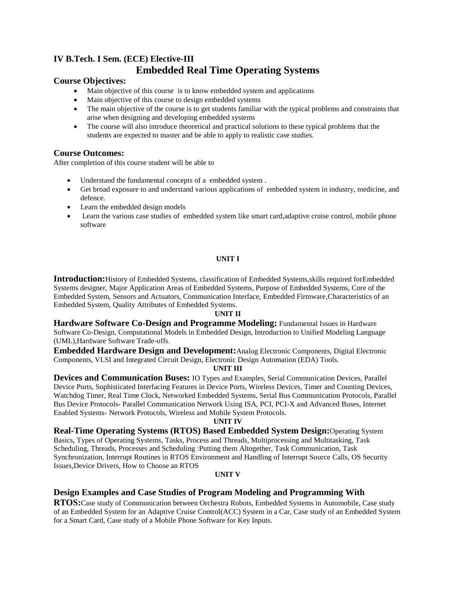# **IV B.Tech. I Sem. (ECE) Elective-III Embedded Real Time Operating Systems**

### **Course Objectives:**

- Main objective of this course is to know embedded system and applications
- Main objective of this course to design embedded systems
- The main objective of the course is to get students familiar with the typical problems and constraints that arise when designing and developing embedded systems
- The course will also introduce theoretical and practical solutions to these typical problems that the students are expected to master and be able to apply to realistic case studies.

### **Course Outcomes:**

After completion of this course student will be able to

- Understand the fundamental concepts of a embedded system .
- Get broad exposure to and understand various applications of embedded system in industry, medicine, and defence.
- Learn the embedded design models
- Learn the various case studies of embedded system like smart card,adaptive cruise control, mobile phone software

### **UNIT I**

**Introduction:**History of Embedded Systems, classification of Embedded Systems,skills required forEmbedded Systems designer, Major Application Areas of Embedded Systems, Purpose of Embedded Systems, Core of the Embedded System, Sensors and Actuators, Communication Interface, Embedded Firmware,Characteristics of an Embedded System, Quality Attributes of Embedded Systems.

### **UNIT II**

**Hardware Software Co-Design and Programme Modeling:** Fundamental Issues in Hardware Software Co-Design, Computational Models in Embedded Design, Introduction to Unified Modeling Language (UML),Hardware Software Trade-offs.

**Embedded Hardware Design and Development:**Analog Electronic Components, Digital Electronic Components, VLSI and Integrated Circuit Design, Electronic Design Automation (EDA) Tools.

### **UNIT III**

**Devices and Communication Buses:** IO Types and Examples, Serial Communication Devices, Parallel Device Ports, Sophisticated Interfacing Features in Device Ports, Wireless Devices, Timer and Counting Devices, Watchdog Timer, Real Time Clock, Networked Embedded Systems, Serial Bus Communication Protocols, Parallel Bus Device Protocols- Parallel Communication Network Using ISA, PCI, PCI-X and Advanced Buses, Internet Enabled Systems- Network Protocols, Wireless and Mobile System Protocols.

### **UNIT IV**

**Real-Time Operating Systems (RTOS) Based Embedded System Design:**Operating System Basics, Types of Operating Systems, Tasks, Process and Threads, Multiprocessing and Multitasking, Task Scheduling, Threads, Processes and Scheduling :Putting them Altogether, Task Communication, Task Synchronization, Interrupt Routines in RTOS Environment and Handling of Interrupt Source Calls, OS Security Issues,Device Drivers, How to Choose an RTOS

### **UNIT V**

### **Design Examples and Case Studies of Program Modeling and Programming With**

**RTOS:**Case study of Communication between Orchestra Robots, Embedded Systems in Automobile, Case study of an Embedded System for an Adaptive Cruise Control(ACC) System in a Car, Case study of an Embedded System for a Smart Card, Case study of a Mobile Phone Software for Key Inputs.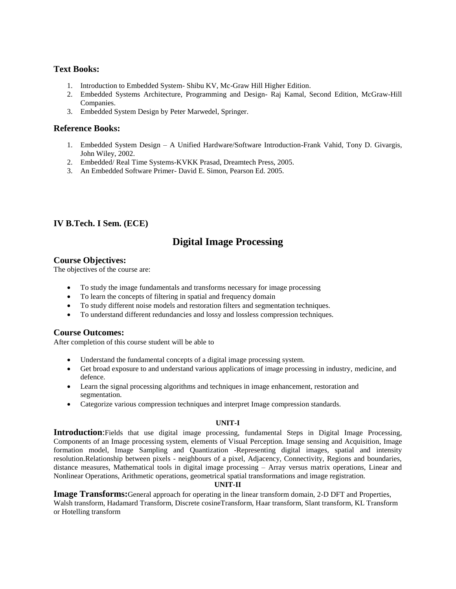### **Text Books:**

- 1. Introduction to Embedded System- Shibu KV, Mc-Graw Hill Higher Edition.
- 2. Embedded Systems Architecture, Programming and Design- Raj Kamal, Second Edition, McGraw-Hill Companies.
- 3. Embedded System Design by Peter Marwedel, Springer.

### **Reference Books:**

- 1. Embedded System Design A Unified Hardware/Software Introduction-Frank Vahid, Tony D. Givargis, John Wiley, 2002.
- 2. Embedded/ Real Time Systems-KVKK Prasad, Dreamtech Press, 2005.
- 3. An Embedded Software Primer- David E. Simon, Pearson Ed. 2005.

### **IV B.Tech. I Sem. (ECE)**

# **Digital Image Processing**

### **Course Objectives:**

The objectives of the course are:

- To study the image fundamentals and transforms necessary for image processing
- To learn the concepts of filtering in spatial and frequency domain
- To study different noise models and restoration filters and segmentation techniques.
- To understand different redundancies and lossy and lossless compression techniques.

### **Course Outcomes:**

After completion of this course student will be able to

- Understand the fundamental concepts of a digital image processing system.
- Get broad exposure to and understand various applications of image processing in industry, medicine, and defence.
- Learn the signal processing algorithms and techniques in image enhancement, restoration and segmentation.
- Categorize various compression techniques and interpret Image compression standards.

### **UNIT-I**

**Introduction**:Fields that use digital image processing, fundamental Steps in Digital Image Processing, Components of an Image processing system, elements of Visual Perception. Image sensing and Acquisition, Image formation model, Image Sampling and Quantization -Representing digital images, spatial and intensity resolution.Relationship between pixels - neighbours of a pixel, Adjacency, Connectivity, Regions and boundaries, distance measures, Mathematical tools in digital image processing – Array versus matrix operations, Linear and Nonlinear Operations, Arithmetic operations, geometrical spatial transformations and image registration.

### **UNIT-II**

**Image Transforms:**General approach for operating in the linear transform domain, 2-D DFT and Properties, Walsh transform, Hadamard Transform, Discrete cosineTransform, Haar transform, Slant transform, KL Transform or Hotelling transform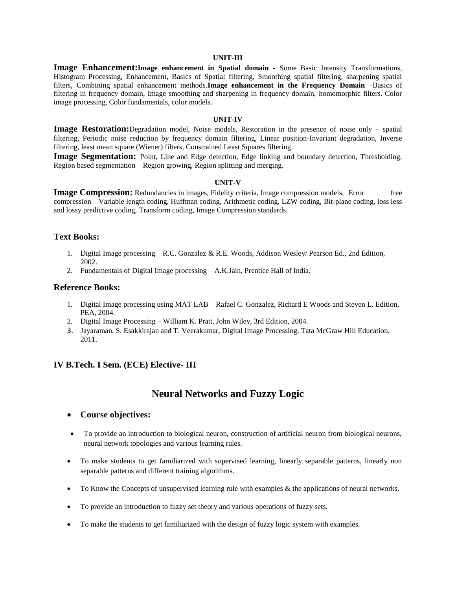#### **UNIT-III**

**Image Enhancement:Image enhancement in Spatial domain -** Some Basic Intensity Transformations, Histogram Processing, Enhancement, Basics of Spatial filtering, Smoothing spatial filtering, sharpening spatial filters, Combining spatial enhancement methods.**Image enhancement in the Frequency Domain** –Basics of filtering in frequency domain, Image smoothing and sharpening in frequency domain, homomorphic filters. Color image processing, Color fundamentals, color models.

#### **UNIT-IV**

**Image Restoration:**Degradation model, Noise models, Restoration in the presence of noise only – spatial filtering, Periodic noise reduction by frequency domain filtering, Linear position-Invariant degradation, Inverse filtering, least mean square (Wiener) filters, Constrained Least Squares filtering.

**Image Segmentation:** Point, Line and Edge detection, Edge linking and boundary detection, Thresholding, Region based segmentation – Region growing, Region splitting and merging.

#### **UNIT-V**

**Image Compression:** Redundancies in images, Fidelity criteria, Image compression models, Error free compression – Variable length coding, Huffman coding, Arithmetic coding, LZW coding, Bit-plane coding, loss less and lossy predictive coding, Transform coding, Image Compression standards.

### **Text Books:**

- 1. Digital Image processing R.C. Gonzalez & R.E. Woods, Addison Wesley/ Pearson Ed., 2nd Edition, 2002.
- 2. Fundamentals of Digital Image processing A.K.Jain, Prentice Hall of India.

### **Reference Books:**

- 1. Digital Image processing using MAT LAB Rafael C. Gonzalez, Richard E Woods and Steven L. Edition, PEA, 2004.
- 2. Digital Image Processing William K. Pratt, John Wiley, 3rd Edition, 2004.
- 3. Jayaraman, S. Esakkirajan and T. Veerakumar, Digital Image Processing, Tata McGraw Hill Education, 2011.

### **IV B.Tech. I Sem. (ECE) Elective- III**

# **Neural Networks and Fuzzy Logic**

### **Course objectives:**

- To provide an introduction to biological neuron, construction of artificial neuron from biological neurons, neural network topologies and various learning rules.
- To make students to get familiarized with supervised learning, linearly separable patterns, linearly non separable patterns and different training algorithms.
- To Know the Concepts of unsupervised learning rule with examples & the applications of neural networks.
- To provide an introduction to fuzzy set theory and various operations of fuzzy sets.
- To make the students to get familiarized with the design of fuzzy logic system with examples.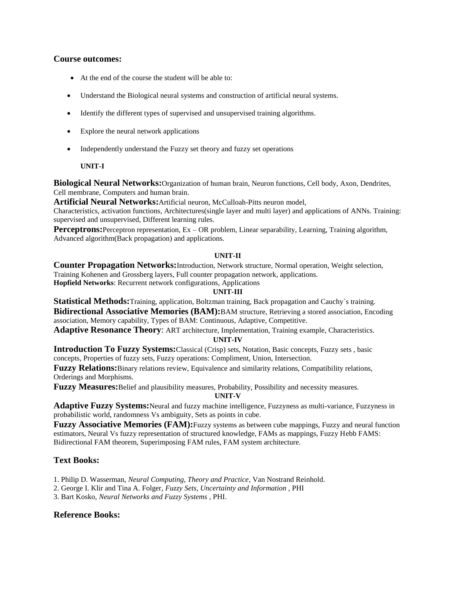### **Course outcomes:**

- At the end of the course the student will be able to:
- Understand the Biological neural systems and construction of artificial neural systems.
- Identify the different types of supervised and unsupervised training algorithms.
- Explore the neural network applications
- Independently understand the Fuzzy set theory and fuzzy set operations

### **UNIT-I**

**Biological Neural Networks:**Organization of human brain, Neuron functions, Cell body, Axon, Dendrites, Cell membrane, Computers and human brain.

**Artificial Neural Networks:**Artificial neuron, McCulloah-Pitts neuron model,

Characteristics, activation functions, Architectures(single layer and multi layer) and applications of ANNs. Training: supervised and unsupervised, Different learning rules.

Perceptrons: Perceptron representation, Ex – OR problem, Linear separability, Learning, Training algorithm, Advanced algorithm(Back propagation) and applications.

### **UNIT-II**

**Counter Propagation Networks:**Introduction, Network structure, Normal operation, Weight selection, Training Kohenen and Grossberg layers, Full counter propagation network, applications.

**Hopfield Networks**: Recurrent network configurations, Applications

### **UNIT-III**

**Statistical Methods:**Training, application, Boltzman training, Back propagation and Cauchy`s training.

**Bidirectional Associative Memories (BAM):**BAM structure, Retrieving a stored association, Encoding association, Memory capability, Types of BAM: Continuous, Adaptive, Competitive.

**Adaptive Resonance Theory**: ART architecture, Implementation, Training example, Characteristics. **UNIT-IV**

**Introduction To Fuzzy Systems:**Classical (Crisp) sets, Notation, Basic concepts, Fuzzy sets , basic concepts, Properties of fuzzy sets, Fuzzy operations: Compliment, Union, Intersection.

**Fuzzy Relations:**Binary relations review, Equivalence and similarity relations, Compatibility relations, Orderings and Morphisms.

**Fuzzy Measures:**Belief and plausibility measures, Probability, Possibility and necessity measures.

**UNIT-V**

**Adaptive Fuzzy Systems:**Neural and fuzzy machine intelligence, Fuzzyness as multi-variance, Fuzzyness in probabilistic world, randomness Vs ambiguity, Sets as points in cube.

**Fuzzy Associative Memories (FAM):**Fuzzy systems as between cube mappings, Fuzzy and neural function estimators, Neural Vs fuzzy representation of structured knowledge, FAMs as mappings, Fuzzy Hebb FAMS: Bidirectional FAM theorem, Superimposing FAM rules, FAM system architecture.

### **Text Books:**

1. Philip D. Wasserman, *Neural Computing, Theory and Practice*, Van Nostrand Reinhold.

2. George I. Klir and Tina A. Folger, *Fuzzy Sets, Uncertainty and Information ,* PHI

3. Bart Kosko, *Neural Networks and Fuzzy Systems* , PHI.

### **Reference Books:**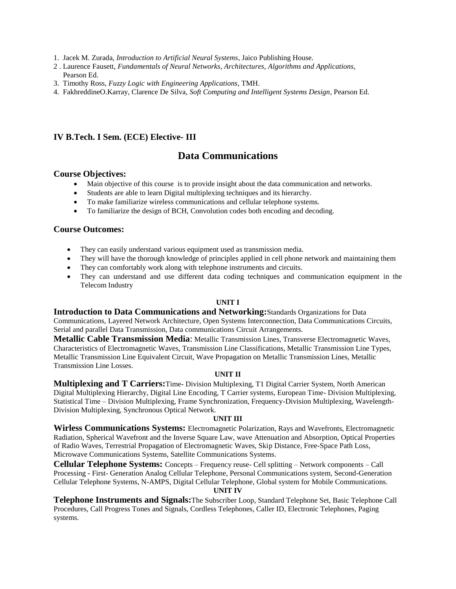- 1. Jacek M. Zurada, *Introduction to Artificial Neural Systems*, Jaico Publishing House.
- 2 . Laurence Fausett, *Fundamentals of Neural Networks, Architectures, Algorithms and Applications*, Pearson Ed.
- 3. Timothy Ross, *Fuzzy Logic with Engineering Applications*, TMH.
- 4. FakhreddineO.Karray, Clarence De Silva, *Soft Computing and Intelligent Systems Design*, Pearson Ed.

### **IV B.Tech. I Sem. (ECE) Elective- III**

# **Data Communications**

### **Course Objectives:**

- Main objective of this course is to provide insight about the data communication and networks.
- Students are able to learn Digital multiplexing techniques and its hierarchy.
- To make familiarize wireless communications and cellular telephone systems.
- To familiarize the design of BCH, Convolution codes both encoding and decoding.

### **Course Outcomes:**

- They can easily understand various equipment used as transmission media.
- They will have the thorough knowledge of principles applied in cell phone network and maintaining them
- They can comfortably work along with telephone instruments and circuits.
- They can understand and use different data coding techniques and communication equipment in the Telecom Industry

### **UNIT I**

**Introduction to Data Communications and Networking:**Standards Organizations for Data Communications, Layered Network Architecture, Open Systems Interconnection, Data Communications Circuits, Serial and parallel Data Transmission, Data communications Circuit Arrangements.

**Metallic Cable Transmission Media**: Metallic Transmission Lines, Transverse Electromagnetic Waves, Characteristics of Electromagnetic Waves, Transmission Line Classifications, Metallic Transmission Line Types, Metallic Transmission Line Equivalent Circuit, Wave Propagation on Metallic Transmission Lines, Metallic Transmission Line Losses.

### **UNIT II**

**Multiplexing and T Carriers:**Time- Division Multiplexing, T1 Digital Carrier System, North American Digital Multiplexing Hierarchy, Digital Line Encoding, T Carrier systems, European Time- Division Multiplexing, Statistical Time – Division Multiplexing, Frame Synchronization, Frequency-Division Multiplexing, Wavelength-Division Multiplexing, Synchronous Optical Network.

### **UNIT III**

**Wirless Communications Systems:** Electromagnetic Polarization, Rays and Wavefronts, Electromagnetic Radiation, Spherical Wavefront and the Inverse Square Law, wave Attenuation and Absorption, Optical Properties of Radio Waves, Terrestrial Propagation of Electromagnetic Waves, Skip Distance, Free-Space Path Loss, Microwave Communications Systems, Satellite Communications Systems.

**Cellular Telephone Systems:** Concepts – Frequency reuse- Cell splitting – Network components – Call Processing - First- Generation Analog Cellular Telephone, Personal Communications system, Second-Generation Cellular Telephone Systems, N-AMPS, Digital Cellular Telephone, Global system for Mobile Communications.

#### **UNIT IV**

**Telephone Instruments and Signals:**The Subscriber Loop, Standard Telephone Set, Basic Telephone Call Procedures, Call Progress Tones and Signals, Cordless Telephones, Caller ID, Electronic Telephones, Paging systems.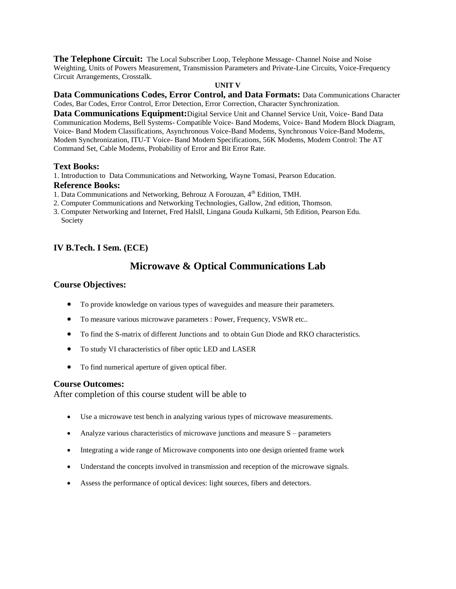**The Telephone Circuit:** The Local Subscriber Loop, Telephone Message- Channel Noise and Noise Weighting, Units of Powers Measurement, Transmission Parameters and Private-Line Circuits, Voice-Frequency Circuit Arrangements, Crosstalk.

### **UNIT V**

**Data Communications Codes, Error Control, and Data Formats:** Data Communications Character Codes, Bar Codes, Error Control, Error Detection, Error Correction, Character Synchronization.

**Data Communications Equipment:**Digital Service Unit and Channel Service Unit, Voice- Band Data Communication Modems, Bell Systems- Compatible Voice- Band Modems, Voice- Band Modern Block Diagram, Voice- Band Modem Classifications, Asynchronous Voice-Band Modems, Synchronous Voice-Band Modems, Modem Synchronization, ITU-T Voice- Band Modem Specifications, 56K Modems, Modem Control: The AT Command Set, Cable Modems, Probability of Error and Bit Error Rate.

### **Text Books:**

1. Introduction to Data Communications and Networking, Wayne Tomasi, Pearson Education.

#### **Reference Books:**

- 1. Data Communications and Networking, Behrouz A Forouzan, 4<sup>th</sup> Edition, TMH.
- 2. Computer Communications and Networking Technologies, Gallow, 2nd edition, Thomson.
- 3. Computer Networking and Internet, Fred Halsll, Lingana Gouda Kulkarni, 5th Edition, Pearson Edu. Society

### **IV B.Tech. I Sem. (ECE)**

## **Microwave & Optical Communications Lab**

### **Course Objectives:**

- To provide knowledge on various types of waveguides and measure their parameters.
- To measure various microwave parameters : Power, Frequency, VSWR etc..
- To find the S-matrix of different Junctions and to obtain Gun Diode and RKO characteristics.
- To study VI characteristics of fiber optic LED and LASER
- To find numerical aperture of given optical fiber.

### **Course Outcomes:**

After completion of this course student will be able to

- Use a microwave test bench in analyzing various types of microwave measurements.
- Analyze various characteristics of microwave junctions and measure  $S$  parameters
- Integrating a wide range of Microwave components into one design oriented frame work
- Understand the concepts involved in transmission and reception of the microwave signals.
- Assess the performance of optical devices: light sources, fibers and detectors.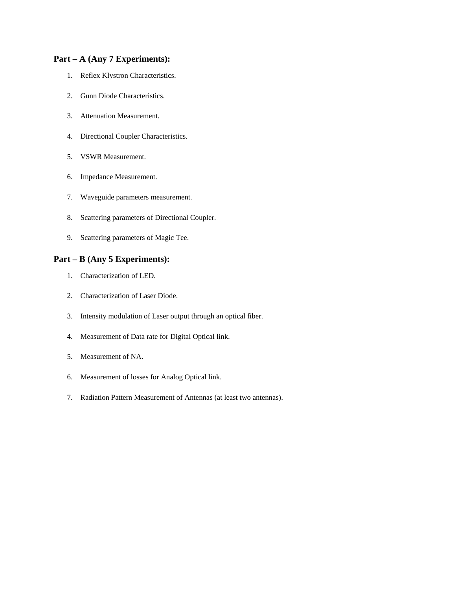# **Part – A (Any 7 Experiments):**

- 1. Reflex Klystron Characteristics.
- 2. Gunn Diode Characteristics.
- 3. Attenuation Measurement.
- 4. Directional Coupler Characteristics.
- 5. VSWR Measurement.
- 6. Impedance Measurement.
- 7. Waveguide parameters measurement.
- 8. Scattering parameters of Directional Coupler.
- 9. Scattering parameters of Magic Tee.

### **Part – B (Any 5 Experiments):**

- 1. Characterization of LED.
- 2. Characterization of Laser Diode.
- 3. Intensity modulation of Laser output through an optical fiber.
- 4. Measurement of Data rate for Digital Optical link.
- 5. Measurement of NA.
- 6. Measurement of losses for Analog Optical link.
- 7. Radiation Pattern Measurement of Antennas (at least two antennas).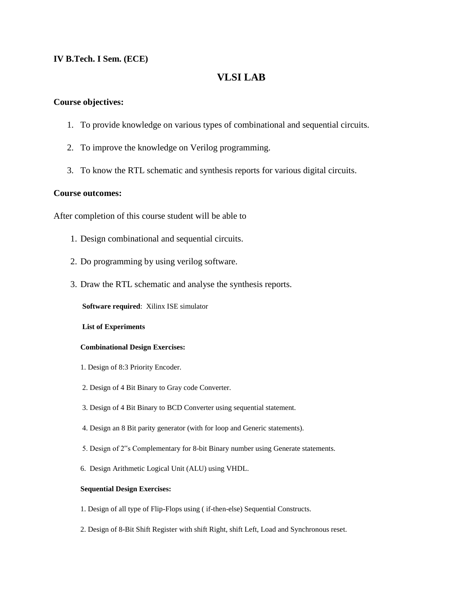### **IV B.Tech. I Sem. (ECE)**

# **VLSI LAB**

### **Course objectives:**

- 1. To provide knowledge on various types of combinational and sequential circuits.
- 2. To improve the knowledge on Verilog programming.
- 3. To know the RTL schematic and synthesis reports for various digital circuits.

### **Course outcomes:**

After completion of this course student will be able to

- 1. Design combinational and sequential circuits.
- 2. Do programming by using verilog software.
- 3. Draw the RTL schematic and analyse the synthesis reports.

**Software required**: Xilinx ISE simulator

**List of Experiments**

#### **Combinational Design Exercises:**

- 1. Design of 8:3 Priority Encoder.
- 2. Design of 4 Bit Binary to Gray code Converter.
- 3. Design of 4 Bit Binary to BCD Converter using sequential statement.
- 4. Design an 8 Bit parity generator (with for loop and Generic statements).
- 5. Design of 2"s Complementary for 8-bit Binary number using Generate statements.
- 6. Design Arithmetic Logical Unit (ALU) using VHDL.

### **Sequential Design Exercises:**

- 1. Design of all type of Flip-Flops using ( if-then-else) Sequential Constructs.
- 2. Design of 8-Bit Shift Register with shift Right, shift Left, Load and Synchronous reset.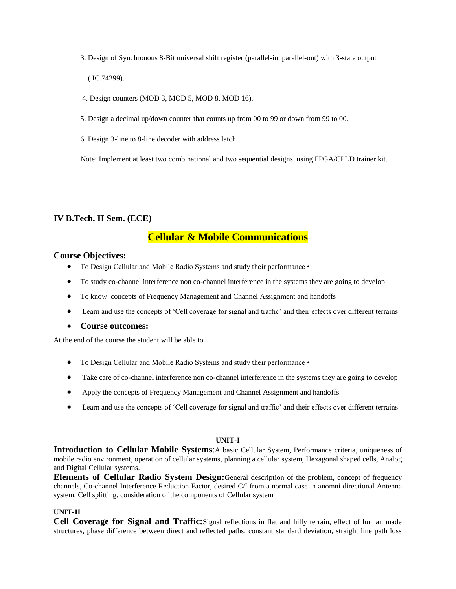3. Design of Synchronous 8-Bit universal shift register (parallel-in, parallel-out) with 3-state output

( IC 74299).

4. Design counters (MOD 3, MOD 5, MOD 8, MOD 16).

5. Design a decimal up/down counter that counts up from 00 to 99 or down from 99 to 00.

6. Design 3-line to 8-line decoder with address latch.

Note: Implement at least two combinational and two sequential designs using FPGA/CPLD trainer kit.

### **IV B.Tech. II Sem. (ECE)**

# **Cellular & Mobile Communications**

### **Course Objectives:**

- To Design Cellular and Mobile Radio Systems and study their performance •
- To study co-channel interference non co-channel interference in the systems they are going to develop
- To know concepts of Frequency Management and Channel Assignment and handoffs
- Learn and use the concepts of 'Cell coverage for signal and traffic' and their effects over different terrains
- **Course outcomes:**

At the end of the course the student will be able to

- To Design Cellular and Mobile Radio Systems and study their performance •
- Take care of co-channel interference non co-channel interference in the systems they are going to develop
- Apply the concepts of Frequency Management and Channel Assignment and handoffs
- Learn and use the concepts of 'Cell coverage for signal and traffic' and their effects over different terrains

### **UNIT-I**

**Introduction to Cellular Mobile Systems**:A basic Cellular System, Performance criteria, uniqueness of mobile radio environment, operation of cellular systems, planning a cellular system, Hexagonal shaped cells, Analog and Digital Cellular systems.

**Elements of Cellular Radio System Design:**General description of the problem, concept of frequency channels, Co-channel Interference Reduction Factor, desired C/I from a normal case in anomni directional Antenna system, Cell splitting, consideration of the components of Cellular system

### **UNIT-II**

**Cell Coverage for Signal and Traffic:**Signal reflections in flat and hilly terrain, effect of human made structures, phase difference between direct and reflected paths, constant standard deviation, straight line path loss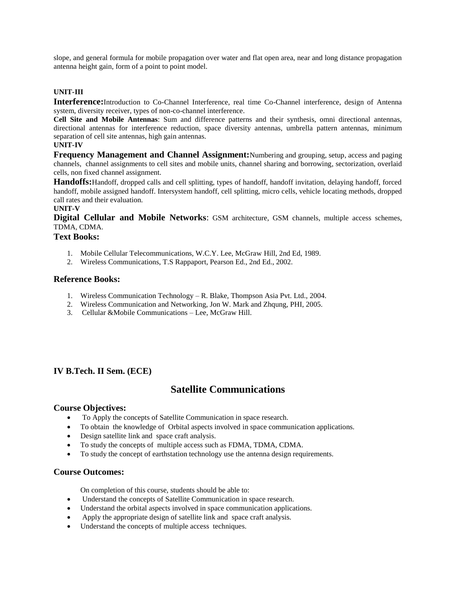slope, and general formula for mobile propagation over water and flat open area, near and long distance propagation antenna height gain, form of a point to point model.

### **UNIT-III**

**Interference:**Introduction to Co-Channel Interference, real time Co-Channel interference, design of Antenna system, diversity receiver, types of non-co-channel interference.

**Cell Site and Mobile Antennas**: Sum and difference patterns and their synthesis, omni directional antennas, directional antennas for interference reduction, space diversity antennas, umbrella pattern antennas, minimum separation of cell site antennas, high gain antennas.

### **UNIT-IV**

**Frequency Management and Channel Assignment:**Numbering and grouping, setup, access and paging channels, channel assignments to cell sites and mobile units, channel sharing and borrowing, sectorization, overlaid cells, non fixed channel assignment.

**Handoffs:**Handoff, dropped calls and cell splitting, types of handoff, handoff invitation, delaying handoff, forced handoff, mobile assigned handoff. Intersystem handoff, cell splitting, micro cells, vehicle locating methods, dropped call rates and their evaluation.

### **UNIT-V**

**Digital Cellular and Mobile Networks**: GSM architecture, GSM channels, multiple access schemes, TDMA, CDMA.

### **Text Books:**

- 1. Mobile Cellular Telecommunications, W.C.Y. Lee, McGraw Hill, 2nd Ed, 1989.
- 2. Wireless Communications, T.S Rappaport, Pearson Ed., 2nd Ed., 2002.

### **Reference Books:**

- 1. Wireless Communication Technology R. Blake, Thompson Asia Pvt. Ltd., 2004.
- 2. Wireless Communication and Networking, Jon W. Mark and Zhqung, PHI, 2005.
- 3. Cellular &Mobile Communications Lee, McGraw Hill.

### **IV B.Tech. II Sem. (ECE)**

### **Satellite Communications**

### **Course Objectives:**

- To Apply the concepts of Satellite Communication in space research.
- To obtain the knowledge of Orbital aspects involved in space communication applications.
- Design satellite link and space craft analysis.
- To study the concepts of multiple access such as FDMA, TDMA, CDMA.
- To study the concept of earthstation technology use the antenna design requirements.

### **Course Outcomes:**

On completion of this course, students should be able to:

- Understand the concepts of Satellite Communication in space research.
- Understand the orbital aspects involved in space communication applications.
- Apply the appropriate design of satellite link and space craft analysis.
- Understand the concepts of multiple access techniques.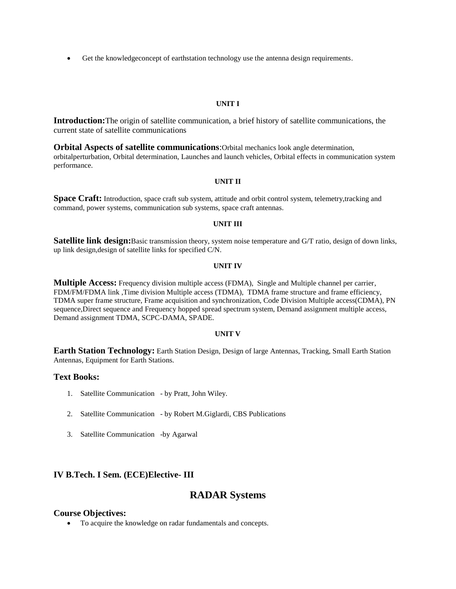Get the knowledgeconcept of earthstation technology use the antenna design requirements.

#### **UNIT I**

**Introduction:**The origin of satellite communication, a brief history of satellite communications, the current state of satellite communications

**Orbital Aspects of satellite communications**:Orbital mechanics look angle determination, orbitalperturbation, Orbital determination, Launches and launch vehicles, Orbital effects in communication system performance.

#### **UNIT II**

**Space Craft:** Introduction, space craft sub system, attitude and orbit control system, telemetry, tracking and command, power systems, communication sub systems, space craft antennas.

#### **UNIT III**

**Satellite link design:**Basic transmission theory, system noise temperature and G/T ratio, design of down links, up link design,design of satellite links for specified C/N.

#### **UNIT IV**

**Multiple Access:** Frequency division multiple access (FDMA), Single and Multiple channel per carrier, FDM/FM/FDMA link ,Time division Multiple access (TDMA), TDMA frame structure and frame efficiency, TDMA super frame structure, Frame acquisition and synchronization, Code Division Multiple access(CDMA), PN sequence,Direct sequence and Frequency hopped spread spectrum system, Demand assignment multiple access, Demand assignment TDMA, SCPC-DAMA, SPADE.

#### **UNIT V**

**Earth Station Technology:** Earth Station Design, Design of large Antennas, Tracking, Small Earth Station Antennas, Equipment for Earth Stations.

### **Text Books:**

- 1. Satellite Communication by Pratt, John Wiley.
- 2. Satellite Communication by Robert M.Giglardi, CBS Publications
- 3. Satellite Communication -by Agarwal

### **IV B.Tech. I Sem. (ECE)Elective- III**

### **RADAR Systems**

#### **Course Objectives:**

To acquire the knowledge on radar fundamentals and concepts.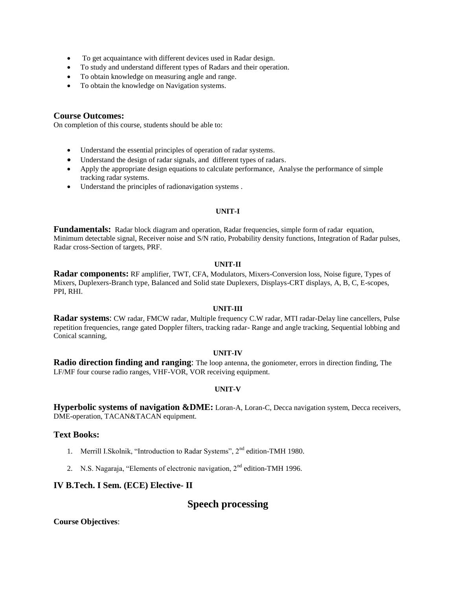- To get acquaintance with different devices used in Radar design.
- To study and understand different types of Radars and their operation.
- To obtain knowledge on measuring angle and range.
- To obtain the knowledge on Navigation systems.

### **Course Outcomes:**

On completion of this course, students should be able to:

- Understand the essential principles of operation of radar systems.
- Understand the design of radar signals, and different types of radars.
- Apply the appropriate design equations to calculate performance, Analyse the performance of simple tracking radar systems.
- Understand the principles of radionavigation systems .

#### **UNIT-I**

**Fundamentals:** Radar block diagram and operation, Radar frequencies, simple form of radar equation, Minimum detectable signal, Receiver noise and S/N ratio, Probability density functions, Integration of Radar pulses, Radar cross-Section of targets, PRF.

#### **UNIT-II**

**Radar components:** RF amplifier, TWT, CFA, Modulators, Mixers-Conversion loss, Noise figure, Types of Mixers, Duplexers-Branch type, Balanced and Solid state Duplexers, Displays-CRT displays, A, B, C, E-scopes, PPI, RHI.

#### **UNIT-III**

**Radar systems**: CW radar, FMCW radar, Multiple frequency C.W radar, MTI radar-Delay line cancellers, Pulse repetition frequencies, range gated Doppler filters, tracking radar- Range and angle tracking, Sequential lobbing and Conical scanning,

#### **UNIT-IV**

**Radio direction finding and ranging**: The loop antenna, the goniometer, errors in direction finding, The LF/MF four course radio ranges, VHF-VOR, VOR receiving equipment.

### **UNIT-V**

**Hyperbolic systems of navigation &DME:** Loran-A, Loran-C, Decca navigation system, Decca receivers, DME-operation, TACAN&TACAN equipment.

### **Text Books:**

- 1. Merrill I.Skolnik, "Introduction to Radar Systems", 2<sup>nd</sup> edition-TMH 1980.
- 2. N.S. Nagaraja, "Elements of electronic navigation, 2<sup>nd</sup> edition-TMH 1996.

### **IV B.Tech. I Sem. (ECE) Elective- II**

# **Speech processing**

**Course Objectives**: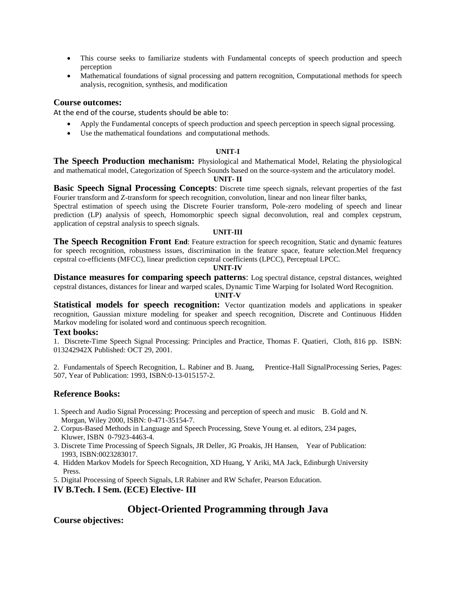- This course seeks to familiarize students with Fundamental concepts of speech production and speech perception
- Mathematical foundations of signal processing and pattern recognition, Computational methods for speech analysis, recognition, synthesis, and modification

### **Course outcomes:**

At the end of the course, students should be able to:

- Apply the Fundamental concepts of speech production and speech perception in speech signal processing.
- Use the mathematical foundations and computational methods.

#### **UNIT-I**

**The Speech Production mechanism:** Physiological and Mathematical Model, Relating the physiological and mathematical model, Categorization of Speech Sounds based on the source-system and the articulatory model.

#### **UNIT- II**

**Basic Speech Signal Processing Concepts**: Discrete time speech signals, relevant properties of the fast Fourier transform and Z-transform for speech recognition, convolution, linear and non linear filter banks,

Spectral estimation of speech using the Discrete Fourier transform, Pole-zero modeling of speech and linear prediction (LP) analysis of speech, Homomorphic speech signal deconvolution, real and complex cepstrum, application of cepstral analysis to speech signals.

#### **UNIT-III**

**The Speech Recognition Front End**: Feature extraction for speech recognition, Static and dynamic features for speech recognition, robustness issues, discrimination in the feature space, feature selection.Mel frequency cepstral co-efficients (MFCC), linear prediction cepstral coefficients (LPCC), Perceptual LPCC.

#### **UNIT-IV**

**Distance measures for comparing speech patterns**: Log spectral distance, cepstral distances, weighted cepstral distances, distances for linear and warped scales, Dynamic Time Warping for Isolated Word Recognition.

#### **UNIT-V**

**Statistical models for speech recognition:** Vector quantization models and applications in speaker recognition, Gaussian mixture modeling for speaker and speech recognition, Discrete and Continuous Hidden Markov modeling for isolated word and continuous speech recognition.

### **Text books:**

1. Discrete-Time Speech Signal Processing: Principles and Practice, Thomas F. Quatieri, Cloth, 816 pp. ISBN: 013242942X Published: OCT 29, 2001.

2. Fundamentals of Speech Recognition, L. Rabiner and B. Juang, Prentice-Hall SignalProcessing Series, Pages: 507, Year of Publication: 1993, ISBN:0-13-015157-2.

### **Reference Books:**

- 1. Speech and Audio Signal Processing: Processing and perception of speech and music B. Gold and N. Morgan, Wiley 2000, ISBN: 0-471-35154-7.
- 2. Corpus-Based Methods in Language and Speech Processing, Steve Young et. al editors, 234 pages, Kluwer, ISBN 0-7923-4463-4.
- 3. Discrete Time Processing of Speech Signals, JR Deller, JG Proakis, JH Hansen, Year of Publication: 1993, ISBN:0023283017.
- 4. Hidden Markov Models for Speech Recognition, XD Huang, Y Ariki, MA Jack, Edinburgh University Press.
- 5. Digital Processing of Speech Signals, LR Rabiner and RW Schafer, Pearson Education.
- **IV B.Tech. I Sem. (ECE) Elective- III**

### **Object-Oriented Programming through Java**

**Course objectives:**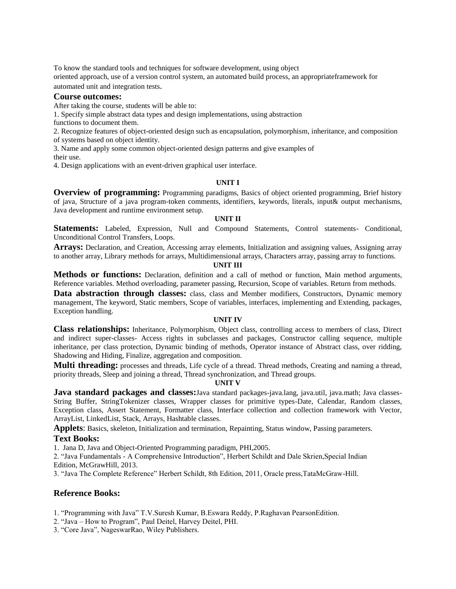To know the standard tools and techniques for software development, using object oriented approach, use of a version control system, an automated build process, an appropriateframework for

automated unit and integration tests.

### **Course outcomes:**

After taking the course, students will be able to:

1. Specify simple abstract data types and design implementations, using abstraction

functions to document them.

2. Recognize features of object-oriented design such as encapsulation, polymorphism, inheritance, and composition of systems based on object identity.

3. Name and apply some common object-oriented design patterns and give examples of

their use.

4. Design applications with an event-driven graphical user interface.

#### **UNIT I**

**Overview of programming:** Programming paradigms, Basics of object oriented programming, Brief history of java, Structure of a java program-token comments, identifiers, keywords, literals, input& output mechanisms, Java development and runtime environment setup.

#### **UNIT II**

**Statements:** Labeled, Expression, Null and Compound Statements, Control statements- Conditional, Unconditional Control Transfers, Loops.

**Arrays:** Declaration, and Creation, Accessing array elements, Initialization and assigning values, Assigning array to another array, Library methods for arrays, Multidimensional arrays, Characters array, passing array to functions.

#### **UNIT III**

**Methods or functions:** Declaration, definition and a call of method or function, Main method arguments, Reference variables. Method overloading, parameter passing, Recursion, Scope of variables. Return from methods.

Data abstraction through classes: class, class and Member modifiers, Constructors, Dynamic memory management, The keyword, Static members, Scope of variables, interfaces, implementing and Extending, packages, Exception handling.

#### **UNIT IV**

**Class relationships:** Inheritance, Polymorphism, Object class, controlling access to members of class, Direct and indirect super-classes- Access rights in subclasses and packages, Constructor calling sequence, multiple inheritance, per class protection, Dynamic binding of methods, Operator instance of Abstract class, over ridding, Shadowing and Hiding, Finalize, aggregation and composition.

**Multi threading:** processes and threads, Life cycle of a thread. Thread methods, Creating and naming a thread, priority threads, Sleep and joining a thread, Thread synchronization, and Thread groups.

#### **UNIT V**

**Java standard packages and classes:**Java standard packages-java.lang, java.util, java.math; Java classes-String Buffer, StringTokenizer classes, Wrapper classes for primitive types-Date, Calendar, Random classes, Exception class, Assert Statement, Formatter class, Interface collection and collection framework with Vector, ArrayList, LinkedList, Stack, Arrays, Hashtable classes.

**Applets**: Basics, skeleton, Initialization and termination, Repainting, Status window, Passing parameters.

### **Text Books:**

1. Jana D, Java and Object-Oriented Programming paradigm, PHI,2005.

2. "Java Fundamentals - A Comprehensive Introduction", Herbert Schildt and Dale Skrien,Special Indian Edition, McGrawHill, 2013.

3. "Java The Complete Reference" Herbert Schildt, 8th Edition, 2011, Oracle press,TataMcGraw-Hill.

### **Reference Books:**

1. "Programming with Java" T.V.Suresh Kumar, B.Eswara Reddy, P.Raghavan PearsonEdition.

2. "Java – How to Program", Paul Deitel, Harvey Deitel, PHI.

3. "Core Java", NageswarRao, Wiley Publishers.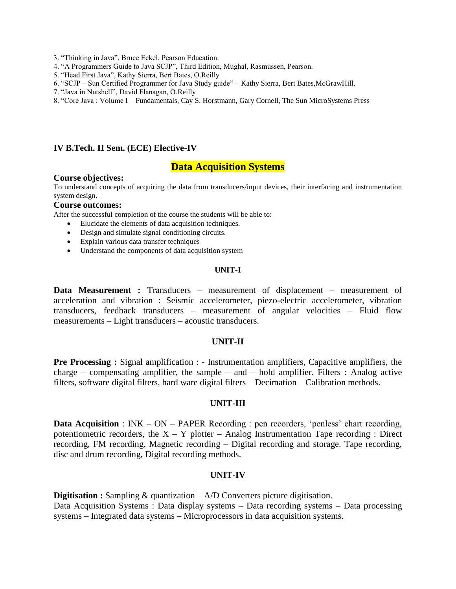- 3. "Thinking in Java", Bruce Eckel, Pearson Education.
- 4. "A Programmers Guide to Java SCJP", Third Edition, Mughal, Rasmussen, Pearson.
- 5. "Head First Java", Kathy Sierra, Bert Bates, O.Reilly
- 6. "SCJP Sun Certified Programmer for Java Study guide" Kathy Sierra, Bert Bates,McGrawHill.
- 7. "Java in Nutshell", David Flanagan, O.Reilly
- 8. "Core Java : Volume I Fundamentals, Cay S. Horstmann, Gary Cornell, The Sun MicroSystems Press

### **IV B.Tech. II Sem. (ECE) Elective-IV**

### **Data Acquisition Systems**

#### **Course objectives:**

To understand concepts of acquiring the data from transducers/input devices, their interfacing and instrumentation system design.

### **Course outcomes:**

After the successful completion of the course the students will be able to:

- Elucidate the elements of data acquisition techniques.
- Design and simulate signal conditioning circuits.
- Explain various data transfer techniques
- Understand the components of data acquisition system

### **UNIT-I**

**Data Measurement :** Transducers – measurement of displacement – measurement of acceleration and vibration : Seismic accelerometer, piezo-electric accelerometer, vibration transducers, feedback transducers – measurement of angular velocities – Fluid flow measurements – Light transducers – acoustic transducers.

### **UNIT-II**

**Pre Processing :** Signal amplification : - Instrumentation amplifiers, Capacitive amplifiers, the charge – compensating amplifier, the sample – and – hold amplifier. Filters : Analog active filters, software digital filters, hard ware digital filters – Decimation – Calibration methods.

### **UNIT-III**

**Data Acquisition** : INK – ON – PAPER Recording : pen recorders, 'penless' chart recording, potentiometric recorders, the  $X - Y$  plotter – Analog Instrumentation Tape recording : Direct recording, FM recording, Magnetic recording – Digital recording and storage. Tape recording, disc and drum recording, Digital recording methods.

### **UNIT-IV**

**Digitisation :** Sampling & quantization – A/D Converters picture digitisation. Data Acquisition Systems : Data display systems – Data recording systems – Data processing systems – Integrated data systems – Microprocessors in data acquisition systems.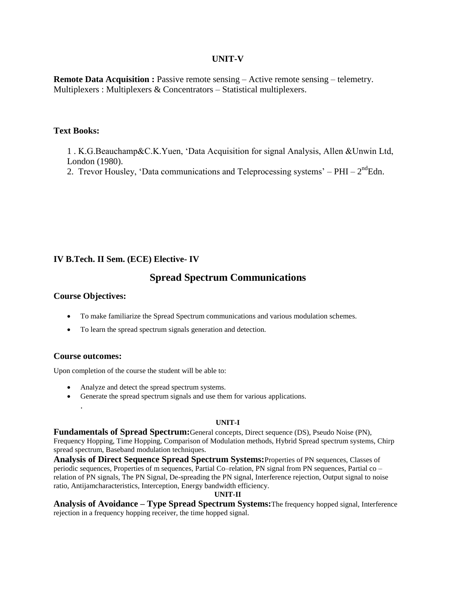### **UNIT-V**

**Remote Data Acquisition :** Passive remote sensing – Active remote sensing – telemetry. Multiplexers : Multiplexers & Concentrators – Statistical multiplexers.

### **Text Books:**

1 . K.G.Beauchamp&C.K.Yuen, "Data Acquisition for signal Analysis, Allen &Unwin Ltd, London (1980).

2. Trevor Housley, 'Data communications and Teleprocessing systems'  $-$  PHI  $- 2<sup>nd</sup>$ Edn.

### **IV B.Tech. II Sem. (ECE) Elective- IV**

# **Spread Spectrum Communications**

### **Course Objectives:**

- To make familiarize the Spread Spectrum communications and various modulation schemes.
- To learn the spread spectrum signals generation and detection.

### **Course outcomes:**

.

Upon completion of the course the student will be able to:

- Analyze and detect the spread spectrum systems.
- Generate the spread spectrum signals and use them for various applications.

### **UNIT-I**

**Fundamentals of Spread Spectrum:**General concepts, Direct sequence (DS), Pseudo Noise (PN), Frequency Hopping, Time Hopping, Comparison of Modulation methods, Hybrid Spread spectrum systems, Chirp spread spectrum, Baseband modulation techniques.

**Analysis of Direct Sequence Spread Spectrum Systems:**Properties of PN sequences, Classes of periodic sequences, Properties of m sequences, Partial Co–relation, PN signal from PN sequences, Partial co – relation of PN signals, The PN Signal, De-spreading the PN signal, Interference rejection, Output signal to noise ratio, Antijamcharacteristics, Interception, Energy bandwidth efficiency.

### **UNIT-II**

**Analysis of Avoidance – Type Spread Spectrum Systems:**The frequency hopped signal, Interference rejection in a frequency hopping receiver, the time hopped signal.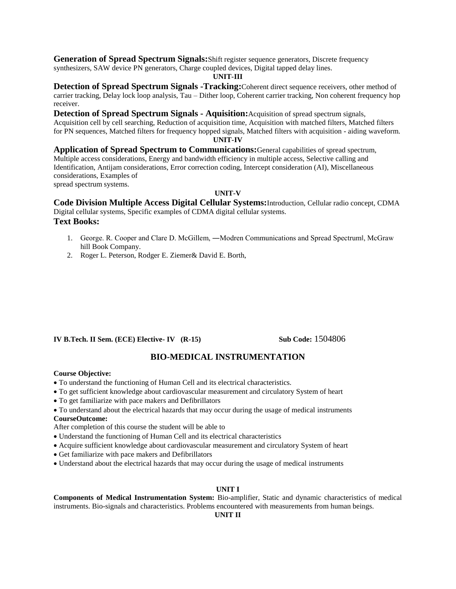**Generation of Spread Spectrum Signals:** Shift register sequence generators, Discrete frequency synthesizers, SAW device PN generators, Charge coupled devices, Digital tapped delay lines.

#### **UNIT-III**

**Detection of Spread Spectrum Signals -Tracking:**Coherent direct sequence receivers, other method of carrier tracking, Delay lock loop analysis, Tau – Dither loop, Coherent carrier tracking, Non coherent frequency hop receiver.

**Detection of Spread Spectrum Signals - Aquisition:**Acquisition of spread spectrum signals,

Acquisition cell by cell searching, Reduction of acquisition time, Acquisition with matched filters, Matched filters for PN sequences, Matched filters for frequency hopped signals, Matched filters with acquisition - aiding waveform.

### **UNIT-IV**

**Application of Spread Spectrum to Communications:**General capabilities of spread spectrum, Multiple access considerations, Energy and bandwidth efficiency in multiple access, Selective calling and Identification, Antijam considerations, Error correction coding, Intercept consideration (AI), Miscellaneous considerations, Examples of spread spectrum systems.

**UNIT-V**

**Code Division Multiple Access Digital Cellular Systems:**Introduction, Cellular radio concept, CDMA Digital cellular systems, Specific examples of CDMA digital cellular systems. **Text Books:**

- 1. George. R. Cooper and Clare D. McGillem, ―Modren Communications and Spread Spectrum‖, McGraw hill Book Company.
- 2. Roger L. Peterson, Rodger E. Ziemer& David E. Borth,

### **IV B.Tech. II Sem. (ECE) Elective- IV (R-15) Sub Code:** 1504806

### **BIO-MEDICAL INSTRUMENTATION**

#### **Course Objective:**

- To understand the functioning of Human Cell and its electrical characteristics.
- To get sufficient knowledge about cardiovascular measurement and circulatory System of heart
- To get familiarize with pace makers and Defibrillators
- To understand about the electrical hazards that may occur during the usage of medical instruments **CourseOutcome:**
- After completion of this course the student will be able to
- Understand the functioning of Human Cell and its electrical characteristics
- Acquire sufficient knowledge about cardiovascular measurement and circulatory System of heart
- Get familiarize with pace makers and Defibrillators
- Understand about the electrical hazards that may occur during the usage of medical instruments

#### **UNIT I**

**Components of Medical Instrumentation System:** Bio-amplifier, Static and dynamic characteristics of medical instruments. Bio-signals and characteristics. Problems encountered with measurements from human beings.

### **UNIT II**